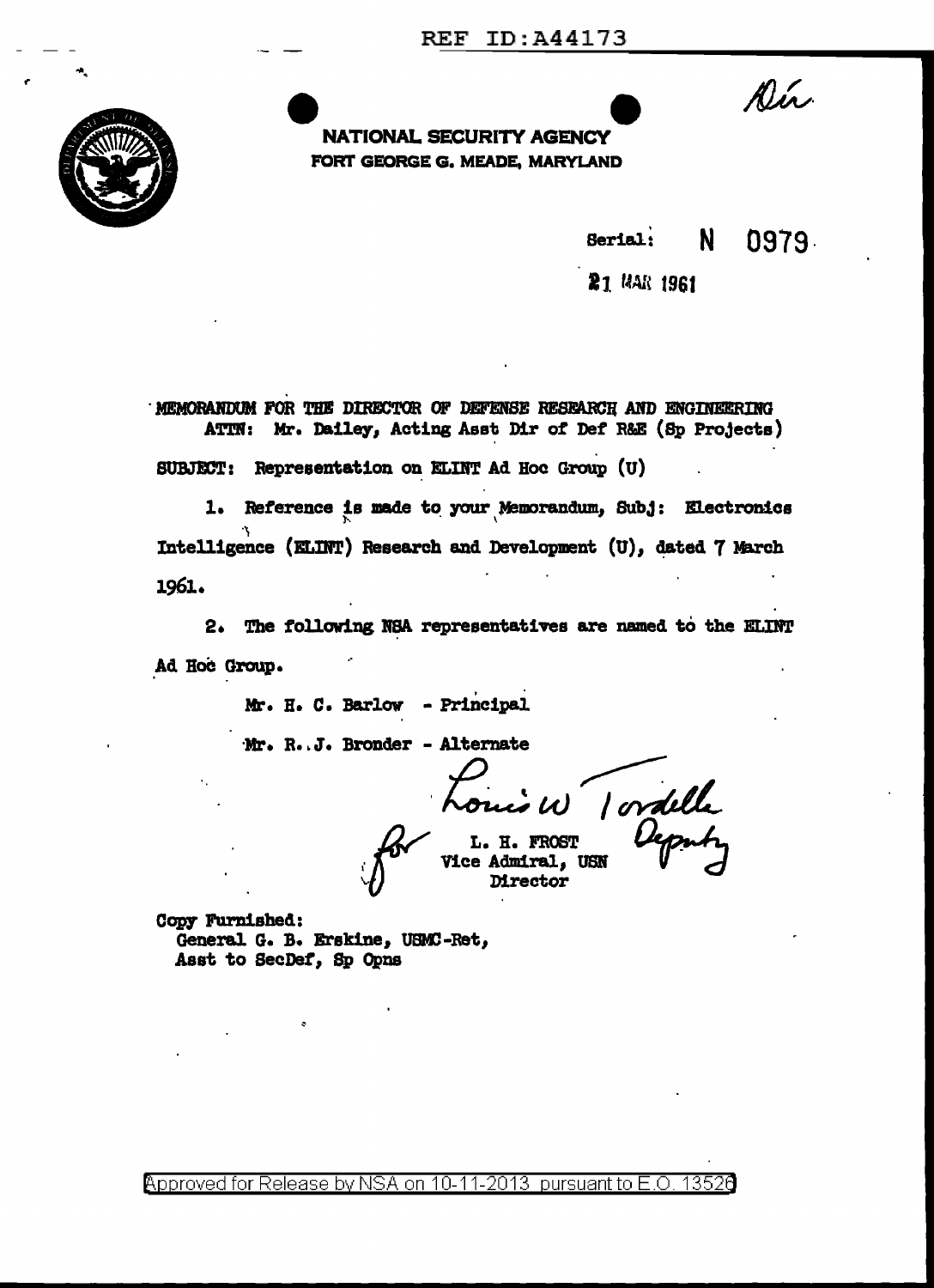

**NATIONAL SECURITY AGENCY** FORT GEORGE G. MEADE, MARYLAND Dír

 $\mathbf{N}$ 0979 Serial:

21 MAR 1961

MEMORANDUM FOR THE DIRECTOR OF DEFENSE RESEARCH AND ENGINEERING ATIN: Mr. Dailey, Acting Asst Dir of Def R&E (Sp Projects) SUBJECT: Representation on ELINT Ad Hoc Group (U)

1. Reference is made to your Memorandum, Subj: Electronics Intelligence (ELINT) Research and Development (U), dated 7 March 1961.

2. The following NSA representatives are named to the ELINT Ad Hoc Group.

Mr. H. C. Barlow - Principal

Mr. R. J. Bronder - Alternate

i W 1 ordelle

L. H. FROST **Vice Admiral, USN** Director

Copy Furnished: General G. B. Erskine, USMC-Ret, Asst to SecDef, Sp Opns